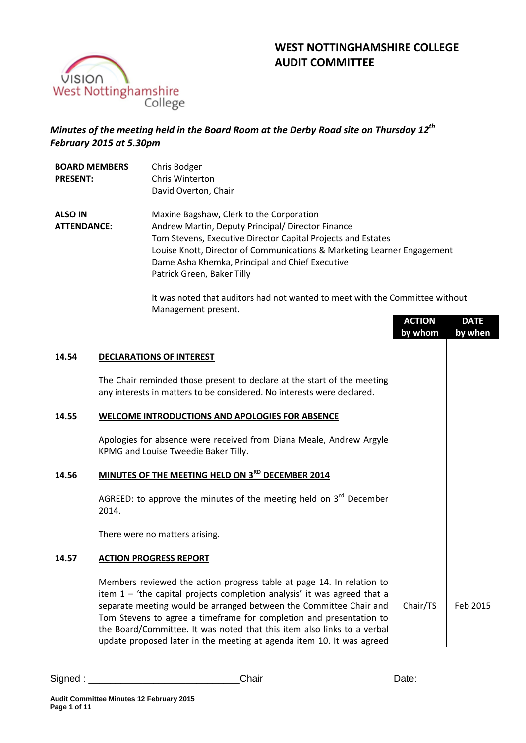



# *Minutes of the meeting held in the Board Room at the Derby Road site on Thursday 12th February 2015 at 5.30pm*

| <b>BOARD MEMBERS</b><br><b>PRESENT:</b> | Chris Bodger<br>Chris Winterton<br>David Overton, Chair                                                                                                                                                                                                                                                                   |
|-----------------------------------------|---------------------------------------------------------------------------------------------------------------------------------------------------------------------------------------------------------------------------------------------------------------------------------------------------------------------------|
| <b>ALSO IN</b><br><b>ATTENDANCE:</b>    | Maxine Bagshaw, Clerk to the Corporation<br>Andrew Martin, Deputy Principal/ Director Finance<br>Tom Stevens, Executive Director Capital Projects and Estates<br>Louise Knott, Director of Communications & Marketing Learner Engagement<br>Dame Asha Khemka, Principal and Chief Executive<br>Patrick Green, Baker Tilly |

It was noted that auditors had not wanted to meet with the Committee without Management present.

|       |                                                                                                                                                                                                                                                                                                                                                                                                                                                      | <b>ACTION</b><br>by whom | <b>DATE</b><br>by when |
|-------|------------------------------------------------------------------------------------------------------------------------------------------------------------------------------------------------------------------------------------------------------------------------------------------------------------------------------------------------------------------------------------------------------------------------------------------------------|--------------------------|------------------------|
| 14.54 | <b>DECLARATIONS OF INTEREST</b>                                                                                                                                                                                                                                                                                                                                                                                                                      |                          |                        |
|       | The Chair reminded those present to declare at the start of the meeting<br>any interests in matters to be considered. No interests were declared.                                                                                                                                                                                                                                                                                                    |                          |                        |
| 14.55 | WELCOME INTRODUCTIONS AND APOLOGIES FOR ABSENCE                                                                                                                                                                                                                                                                                                                                                                                                      |                          |                        |
|       | Apologies for absence were received from Diana Meale, Andrew Argyle<br>KPMG and Louise Tweedie Baker Tilly.                                                                                                                                                                                                                                                                                                                                          |                          |                        |
| 14.56 | MINUTES OF THE MEETING HELD ON 3RD DECEMBER 2014                                                                                                                                                                                                                                                                                                                                                                                                     |                          |                        |
|       | AGREED: to approve the minutes of the meeting held on $3rd$ December<br>2014.                                                                                                                                                                                                                                                                                                                                                                        |                          |                        |
|       | There were no matters arising.                                                                                                                                                                                                                                                                                                                                                                                                                       |                          |                        |
| 14.57 | <b>ACTION PROGRESS REPORT</b>                                                                                                                                                                                                                                                                                                                                                                                                                        |                          |                        |
|       | Members reviewed the action progress table at page 14. In relation to<br>item $1 -$ 'the capital projects completion analysis' it was agreed that a<br>separate meeting would be arranged between the Committee Chair and<br>Tom Stevens to agree a timeframe for completion and presentation to<br>the Board/Committee. It was noted that this item also links to a verbal<br>update proposed later in the meeting at agenda item 10. It was agreed | Chair/TS                 | Feb 2015               |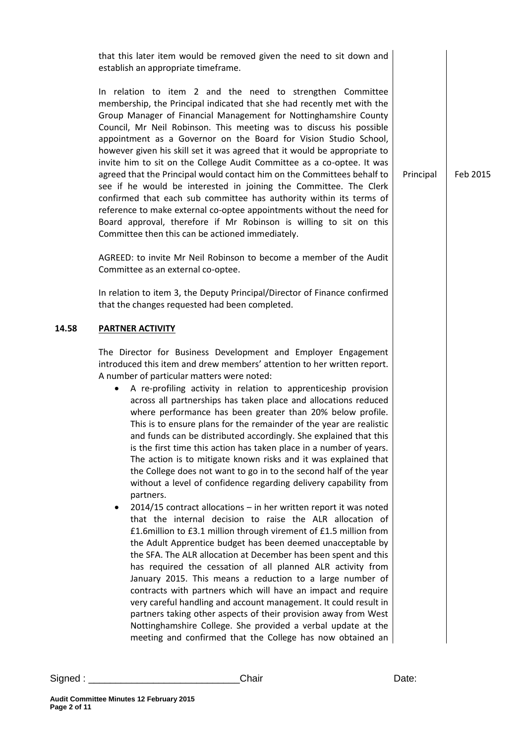that this later item would be removed given the need to sit down and establish an appropriate timeframe.

In relation to item 2 and the need to strengthen Committee membership, the Principal indicated that she had recently met with the Group Manager of Financial Management for Nottinghamshire County Council, Mr Neil Robinson. This meeting was to discuss his possible appointment as a Governor on the Board for Vision Studio School, however given his skill set it was agreed that it would be appropriate to invite him to sit on the College Audit Committee as a co-optee. It was agreed that the Principal would contact him on the Committees behalf to see if he would be interested in joining the Committee. The Clerk confirmed that each sub committee has authority within its terms of reference to make external co-optee appointments without the need for Board approval, therefore if Mr Robinson is willing to sit on this Committee then this can be actioned immediately.

AGREED: to invite Mr Neil Robinson to become a member of the Audit Committee as an external co-optee.

In relation to item 3, the Deputy Principal/Director of Finance confirmed that the changes requested had been completed.

#### **14.58 PARTNER ACTIVITY**

The Director for Business Development and Employer Engagement introduced this item and drew members' attention to her written report. A number of particular matters were noted:

- A re-profiling activity in relation to apprenticeship provision across all partnerships has taken place and allocations reduced where performance has been greater than 20% below profile. This is to ensure plans for the remainder of the year are realistic and funds can be distributed accordingly. She explained that this is the first time this action has taken place in a number of years. The action is to mitigate known risks and it was explained that the College does not want to go in to the second half of the year without a level of confidence regarding delivery capability from partners.
- 2014/15 contract allocations in her written report it was noted that the internal decision to raise the ALR allocation of £1.6million to £3.1 million through virement of £1.5 million from the Adult Apprentice budget has been deemed unacceptable by the SFA. The ALR allocation at December has been spent and this has required the cessation of all planned ALR activity from January 2015. This means a reduction to a large number of contracts with partners which will have an impact and require very careful handling and account management. It could result in partners taking other aspects of their provision away from West Nottinghamshire College. She provided a verbal update at the meeting and confirmed that the College has now obtained an

Principal Feb 2015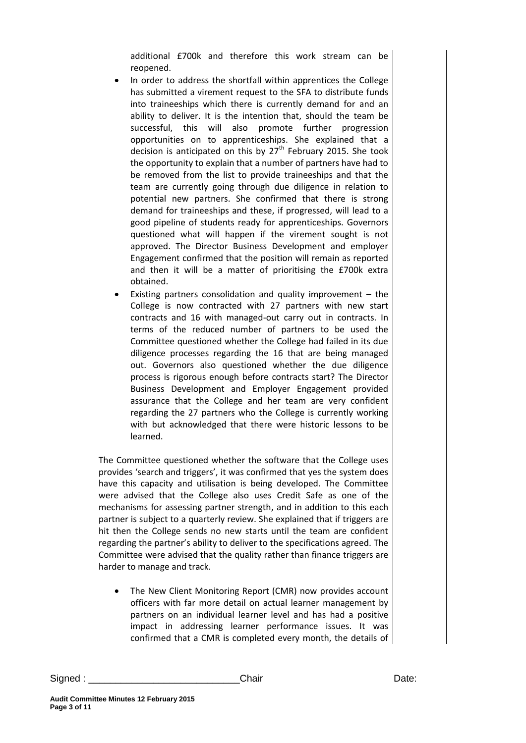additional £700k and therefore this work stream can be reopened.

- In order to address the shortfall within apprentices the College has submitted a virement request to the SFA to distribute funds into traineeships which there is currently demand for and an ability to deliver. It is the intention that, should the team be successful, this will also promote further progression opportunities on to apprenticeships. She explained that a decision is anticipated on this by  $27<sup>th</sup>$  February 2015. She took the opportunity to explain that a number of partners have had to be removed from the list to provide traineeships and that the team are currently going through due diligence in relation to potential new partners. She confirmed that there is strong demand for traineeships and these, if progressed, will lead to a good pipeline of students ready for apprenticeships. Governors questioned what will happen if the virement sought is not approved. The Director Business Development and employer Engagement confirmed that the position will remain as reported and then it will be a matter of prioritising the £700k extra obtained.
- Existing partners consolidation and quality improvement  $-$  the College is now contracted with 27 partners with new start contracts and 16 with managed-out carry out in contracts. In terms of the reduced number of partners to be used the Committee questioned whether the College had failed in its due diligence processes regarding the 16 that are being managed out. Governors also questioned whether the due diligence process is rigorous enough before contracts start? The Director Business Development and Employer Engagement provided assurance that the College and her team are very confident regarding the 27 partners who the College is currently working with but acknowledged that there were historic lessons to be learned.

The Committee questioned whether the software that the College uses provides 'search and triggers', it was confirmed that yes the system does have this capacity and utilisation is being developed. The Committee were advised that the College also uses Credit Safe as one of the mechanisms for assessing partner strength, and in addition to this each partner is subject to a quarterly review. She explained that if triggers are hit then the College sends no new starts until the team are confident regarding the partner's ability to deliver to the specifications agreed. The Committee were advised that the quality rather than finance triggers are harder to manage and track.

 The New Client Monitoring Report (CMR) now provides account officers with far more detail on actual learner management by partners on an individual learner level and has had a positive impact in addressing learner performance issues. It was confirmed that a CMR is completed every month, the details of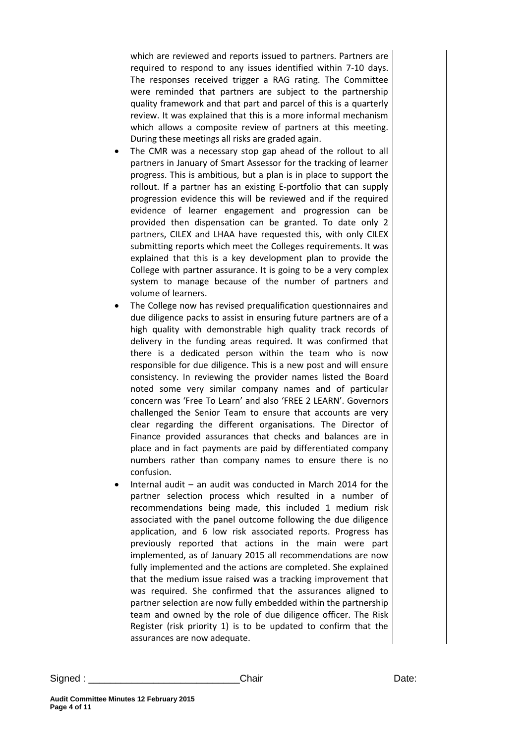which are reviewed and reports issued to partners. Partners are required to respond to any issues identified within 7-10 days. The responses received trigger a RAG rating. The Committee were reminded that partners are subject to the partnership quality framework and that part and parcel of this is a quarterly review. It was explained that this is a more informal mechanism which allows a composite review of partners at this meeting. During these meetings all risks are graded again.

- The CMR was a necessary stop gap ahead of the rollout to all partners in January of Smart Assessor for the tracking of learner progress. This is ambitious, but a plan is in place to support the rollout. If a partner has an existing E-portfolio that can supply progression evidence this will be reviewed and if the required evidence of learner engagement and progression can be provided then dispensation can be granted. To date only 2 partners, CILEX and LHAA have requested this, with only CILEX submitting reports which meet the Colleges requirements. It was explained that this is a key development plan to provide the College with partner assurance. It is going to be a very complex system to manage because of the number of partners and volume of learners.
- The College now has revised prequalification questionnaires and due diligence packs to assist in ensuring future partners are of a high quality with demonstrable high quality track records of delivery in the funding areas required. It was confirmed that there is a dedicated person within the team who is now responsible for due diligence. This is a new post and will ensure consistency. In reviewing the provider names listed the Board noted some very similar company names and of particular concern was 'Free To Learn' and also 'FREE 2 LEARN'. Governors challenged the Senior Team to ensure that accounts are very clear regarding the different organisations. The Director of Finance provided assurances that checks and balances are in place and in fact payments are paid by differentiated company numbers rather than company names to ensure there is no confusion.
- Internal audit an audit was conducted in March 2014 for the partner selection process which resulted in a number of recommendations being made, this included 1 medium risk associated with the panel outcome following the due diligence application, and 6 low risk associated reports. Progress has previously reported that actions in the main were part implemented, as of January 2015 all recommendations are now fully implemented and the actions are completed. She explained that the medium issue raised was a tracking improvement that was required. She confirmed that the assurances aligned to partner selection are now fully embedded within the partnership team and owned by the role of due diligence officer. The Risk Register (risk priority 1) is to be updated to confirm that the assurances are now adequate.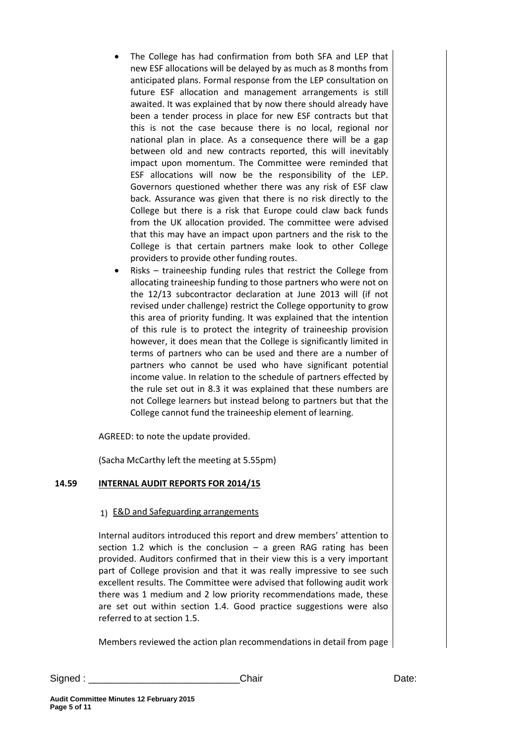- The College has had confirmation from both SFA and LEP that new ESF allocations will be delayed by as much as 8 months from anticipated plans. Formal response from the LEP consultation on future ESF allocation and management arrangements is still awaited. It was explained that by now there should already have been a tender process in place for new ESF contracts but that this is not the case because there is no local, regional nor national plan in place. As a consequence there will be a gap between old and new contracts reported, this will inevitably impact upon momentum. The Committee were reminded that ESF allocations will now be the responsibility of the LEP. Governors questioned whether there was any risk of ESF claw back. Assurance was given that there is no risk directly to the College but there is a risk that Europe could claw back funds from the UK allocation provided. The committee were advised that this may have an impact upon partners and the risk to the College is that certain partners make look to other College providers to provide other funding routes.
- Risks traineeship funding rules that restrict the College from allocating traineeship funding to those partners who were not on the 12/13 subcontractor declaration at June 2013 will (if not revised under challenge) restrict the College opportunity to grow this area of priority funding. It was explained that the intention of this rule is to protect the integrity of traineeship provision however, it does mean that the College is significantly limited in terms of partners who can be used and there are a number of partners who cannot be used who have significant potential income value. In relation to the schedule of partners effected by the rule set out in 8.3 it was explained that these numbers are not College learners but instead belong to partners but that the College cannot fund the traineeship element of learning.

AGREED: to note the update provided.

(Sacha McCarthy left the meeting at 5.55pm)

# **14.59 INTERNAL AUDIT REPORTS FOR 2014/15**

## 1) E&D and Safeguarding arrangements

Internal auditors introduced this report and drew members' attention to section 1.2 which is the conclusion  $-$  a green RAG rating has been provided. Auditors confirmed that in their view this is a very important part of College provision and that it was really impressive to see such excellent results. The Committee were advised that following audit work there was 1 medium and 2 low priority recommendations made, these are set out within section 1.4. Good practice suggestions were also referred to at section 1.5.

Members reviewed the action plan recommendations in detail from page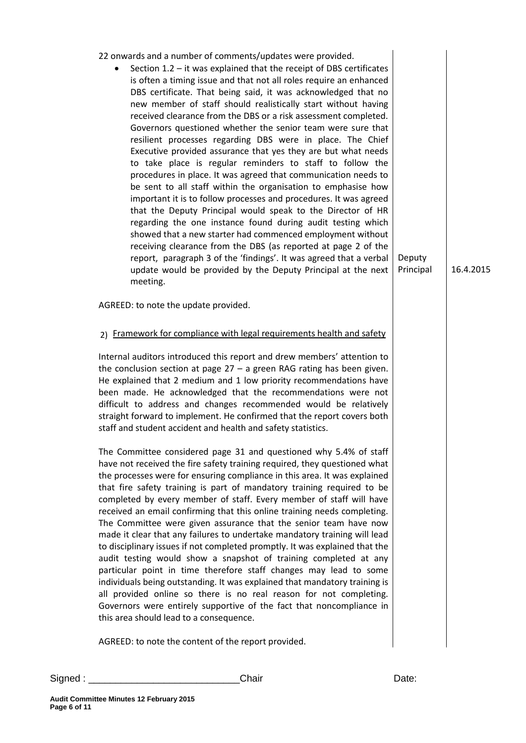| 22 onwards and a number of comments/updates were provided.<br>Section $1.2$ – it was explained that the receipt of DBS certificates<br>is often a timing issue and that not all roles require an enhanced<br>DBS certificate. That being said, it was acknowledged that no<br>new member of staff should realistically start without having<br>received clearance from the DBS or a risk assessment completed.<br>Governors questioned whether the senior team were sure that<br>resilient processes regarding DBS were in place. The Chief<br>Executive provided assurance that yes they are but what needs<br>to take place is regular reminders to staff to follow the<br>procedures in place. It was agreed that communication needs to<br>be sent to all staff within the organisation to emphasise how<br>important it is to follow processes and procedures. It was agreed<br>that the Deputy Principal would speak to the Director of HR<br>regarding the one instance found during audit testing which<br>showed that a new starter had commenced employment without<br>receiving clearance from the DBS (as reported at page 2 of the<br>report, paragraph 3 of the 'findings'. It was agreed that a verbal<br>update would be provided by the Deputy Principal at the next<br>meeting. | Deputy<br>Principal | 16.4.2015 |
|---------------------------------------------------------------------------------------------------------------------------------------------------------------------------------------------------------------------------------------------------------------------------------------------------------------------------------------------------------------------------------------------------------------------------------------------------------------------------------------------------------------------------------------------------------------------------------------------------------------------------------------------------------------------------------------------------------------------------------------------------------------------------------------------------------------------------------------------------------------------------------------------------------------------------------------------------------------------------------------------------------------------------------------------------------------------------------------------------------------------------------------------------------------------------------------------------------------------------------------------------------------------------------------------------|---------------------|-----------|
| AGREED: to note the update provided.                                                                                                                                                                                                                                                                                                                                                                                                                                                                                                                                                                                                                                                                                                                                                                                                                                                                                                                                                                                                                                                                                                                                                                                                                                                              |                     |           |
| 2) Framework for compliance with legal requirements health and safety<br>Internal auditors introduced this report and drew members' attention to<br>the conclusion section at page $27 - a$ green RAG rating has been given.<br>He explained that 2 medium and 1 low priority recommendations have<br>been made. He acknowledged that the recommendations were not<br>difficult to address and changes recommended would be relatively<br>straight forward to implement. He confirmed that the report covers both<br>staff and student accident and health and safety statistics.                                                                                                                                                                                                                                                                                                                                                                                                                                                                                                                                                                                                                                                                                                                 |                     |           |
| The Committee considered page 31 and questioned why 5.4% of staff<br>have not received the fire safety training required, they questioned what<br>the processes were for ensuring compliance in this area. It was explained<br>that fire safety training is part of mandatory training required to be<br>completed by every member of staff. Every member of staff will have<br>received an email confirming that this online training needs completing.<br>The Committee were given assurance that the senior team have now<br>made it clear that any failures to undertake mandatory training will lead<br>to disciplinary issues if not completed promptly. It was explained that the<br>audit testing would show a snapshot of training completed at any<br>particular point in time therefore staff changes may lead to some<br>individuals being outstanding. It was explained that mandatory training is<br>all provided online so there is no real reason for not completing.<br>Governors were entirely supportive of the fact that noncompliance in<br>this area should lead to a consequence.                                                                                                                                                                                          |                     |           |
| AGREED: to note the content of the report provided.                                                                                                                                                                                                                                                                                                                                                                                                                                                                                                                                                                                                                                                                                                                                                                                                                                                                                                                                                                                                                                                                                                                                                                                                                                               |                     |           |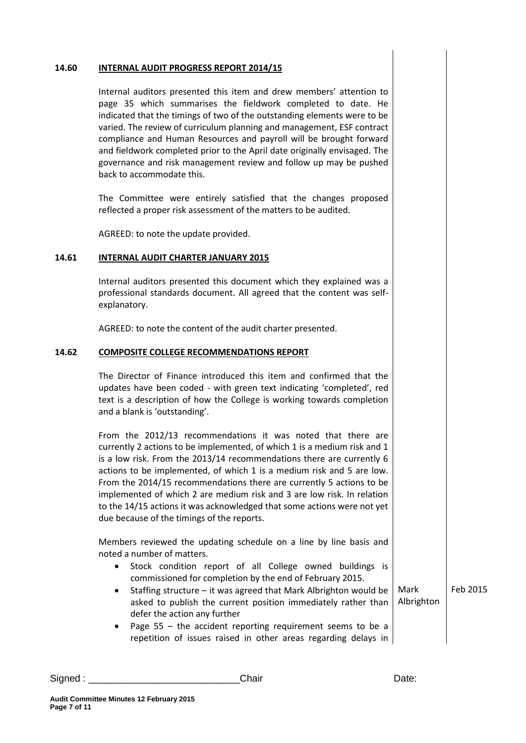#### **14.60 INTERNAL AUDIT PROGRESS REPORT 2014/15**

Internal auditors presented this item and drew members' attention to page 35 which summarises the fieldwork completed to date. He indicated that the timings of two of the outstanding elements were to be varied. The review of curriculum planning and management, ESF contract compliance and Human Resources and payroll will be brought forward and fieldwork completed prior to the April date originally envisaged. The governance and risk management review and follow up may be pushed back to accommodate this.

The Committee were entirely satisfied that the changes proposed reflected a proper risk assessment of the matters to be audited.

AGREED: to note the update provided.

#### **14.61 INTERNAL AUDIT CHARTER JANUARY 2015**

Internal auditors presented this document which they explained was a professional standards document. All agreed that the content was selfexplanatory.

AGREED: to note the content of the audit charter presented.

#### **14.62 COMPOSITE COLLEGE RECOMMENDATIONS REPORT**

The Director of Finance introduced this item and confirmed that the updates have been coded - with green text indicating 'completed', red text is a description of how the College is working towards completion and a blank is 'outstanding'.

From the 2012/13 recommendations it was noted that there are currently 2 actions to be implemented, of which 1 is a medium risk and 1 is a low risk. From the 2013/14 recommendations there are currently 6 actions to be implemented, of which 1 is a medium risk and 5 are low. From the 2014/15 recommendations there are currently 5 actions to be implemented of which 2 are medium risk and 3 are low risk. In relation to the 14/15 actions it was acknowledged that some actions were not yet due because of the timings of the reports.

Members reviewed the updating schedule on a line by line basis and noted a number of matters.

- Stock condition report of all College owned buildings is commissioned for completion by the end of February 2015.
- Staffing structure it was agreed that Mark Albrighton would be asked to publish the current position immediately rather than defer the action any further Mark Albrighton Feb 2015
- Page 55 the accident reporting requirement seems to be a repetition of issues raised in other areas regarding delays in

| Signed | ;haır | Date. |
|--------|-------|-------|
|        |       |       |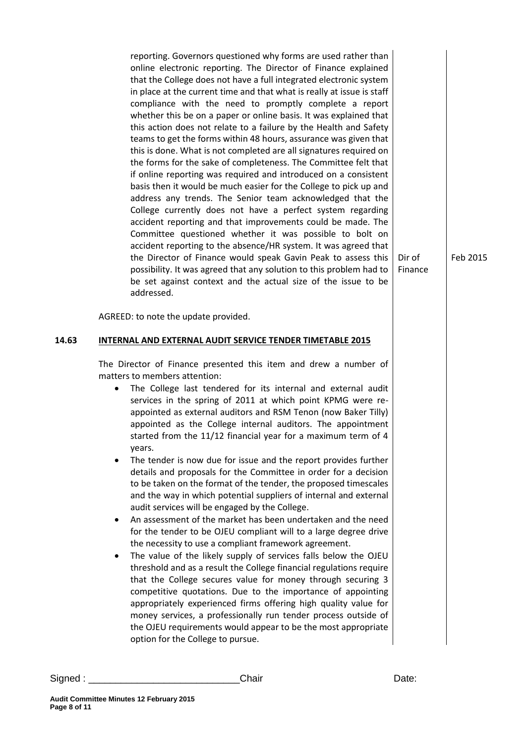reporting. Governors questioned why forms are used rather than online electronic reporting. The Director of Finance explained that the College does not have a full integrated electronic system in place at the current time and that what is really at issue is staff compliance with the need to promptly complete a report whether this be on a paper or online basis. It was explained that this action does not relate to a failure by the Health and Safety teams to get the forms within 48 hours, assurance was given that this is done. What is not completed are all signatures required on the forms for the sake of completeness. The Committee felt that if online reporting was required and introduced on a consistent basis then it would be much easier for the College to pick up and address any trends. The Senior team acknowledged that the College currently does not have a perfect system regarding accident reporting and that improvements could be made. The Committee questioned whether it was possible to bolt on accident reporting to the absence/HR system. It was agreed that the Director of Finance would speak Gavin Peak to assess this possibility. It was agreed that any solution to this problem had to be set against context and the actual size of the issue to be addressed.

Feb 2015

Dir of Finance

AGREED: to note the update provided.

#### **14.63 INTERNAL AND EXTERNAL AUDIT SERVICE TENDER TIMETABLE 2015**

The Director of Finance presented this item and drew a number of matters to members attention:

- The College last tendered for its internal and external audit services in the spring of 2011 at which point KPMG were reappointed as external auditors and RSM Tenon (now Baker Tilly) appointed as the College internal auditors. The appointment started from the 11/12 financial year for a maximum term of 4 years.
- The tender is now due for issue and the report provides further details and proposals for the Committee in order for a decision to be taken on the format of the tender, the proposed timescales and the way in which potential suppliers of internal and external audit services will be engaged by the College.
- An assessment of the market has been undertaken and the need for the tender to be OJEU compliant will to a large degree drive the necessity to use a compliant framework agreement.
- The value of the likely supply of services falls below the OJEU threshold and as a result the College financial regulations require that the College secures value for money through securing 3 competitive quotations. Due to the importance of appointing appropriately experienced firms offering high quality value for money services, a professionally run tender process outside of the OJEU requirements would appear to be the most appropriate option for the College to pursue.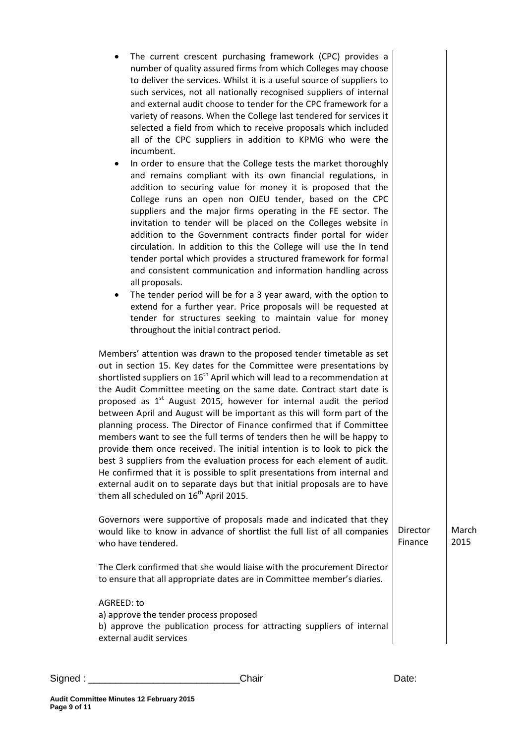| The current crescent purchasing framework (CPC) provides a<br>٠<br>number of quality assured firms from which Colleges may choose<br>to deliver the services. Whilst it is a useful source of suppliers to<br>such services, not all nationally recognised suppliers of internal<br>and external audit choose to tender for the CPC framework for a<br>variety of reasons. When the College last tendered for services it<br>selected a field from which to receive proposals which included<br>all of the CPC suppliers in addition to KPMG who were the<br>incumbent.<br>In order to ensure that the College tests the market thoroughly<br>and remains compliant with its own financial regulations, in<br>addition to securing value for money it is proposed that the<br>College runs an open non OJEU tender, based on the CPC<br>suppliers and the major firms operating in the FE sector. The<br>invitation to tender will be placed on the Colleges website in<br>addition to the Government contracts finder portal for wider<br>circulation. In addition to this the College will use the In tend<br>tender portal which provides a structured framework for formal<br>and consistent communication and information handling across<br>all proposals.<br>The tender period will be for a 3 year award, with the option to<br>٠<br>extend for a further year. Price proposals will be requested at<br>tender for structures seeking to maintain value for money<br>throughout the initial contract period. |                     |               |
|----------------------------------------------------------------------------------------------------------------------------------------------------------------------------------------------------------------------------------------------------------------------------------------------------------------------------------------------------------------------------------------------------------------------------------------------------------------------------------------------------------------------------------------------------------------------------------------------------------------------------------------------------------------------------------------------------------------------------------------------------------------------------------------------------------------------------------------------------------------------------------------------------------------------------------------------------------------------------------------------------------------------------------------------------------------------------------------------------------------------------------------------------------------------------------------------------------------------------------------------------------------------------------------------------------------------------------------------------------------------------------------------------------------------------------------------------------------------------------------------------------------------|---------------------|---------------|
| Members' attention was drawn to the proposed tender timetable as set<br>out in section 15. Key dates for the Committee were presentations by<br>shortlisted suppliers on 16 <sup>th</sup> April which will lead to a recommendation at<br>the Audit Committee meeting on the same date. Contract start date is<br>proposed as 1 <sup>st</sup> August 2015, however for internal audit the period<br>between April and August will be important as this will form part of the<br>planning process. The Director of Finance confirmed that if Committee<br>members want to see the full terms of tenders then he will be happy to<br>provide them once received. The initial intention is to look to pick the<br>best 3 suppliers from the evaluation process for each element of audit.<br>He confirmed that it is possible to split presentations from internal and<br>external audit on to separate days but that initial proposals are to have<br>them all scheduled on 16 <sup>th</sup> April 2015.                                                                                                                                                                                                                                                                                                                                                                                                                                                                                                               |                     |               |
| Governors were supportive of proposals made and indicated that they<br>would like to know in advance of shortlist the full list of all companies<br>who have tendered.                                                                                                                                                                                                                                                                                                                                                                                                                                                                                                                                                                                                                                                                                                                                                                                                                                                                                                                                                                                                                                                                                                                                                                                                                                                                                                                                               | Director<br>Finance | March<br>2015 |
| The Clerk confirmed that she would liaise with the procurement Director<br>to ensure that all appropriate dates are in Committee member's diaries.                                                                                                                                                                                                                                                                                                                                                                                                                                                                                                                                                                                                                                                                                                                                                                                                                                                                                                                                                                                                                                                                                                                                                                                                                                                                                                                                                                   |                     |               |
| AGREED: to<br>a) approve the tender process proposed<br>b) approve the publication process for attracting suppliers of internal<br>external audit services                                                                                                                                                                                                                                                                                                                                                                                                                                                                                                                                                                                                                                                                                                                                                                                                                                                                                                                                                                                                                                                                                                                                                                                                                                                                                                                                                           |                     |               |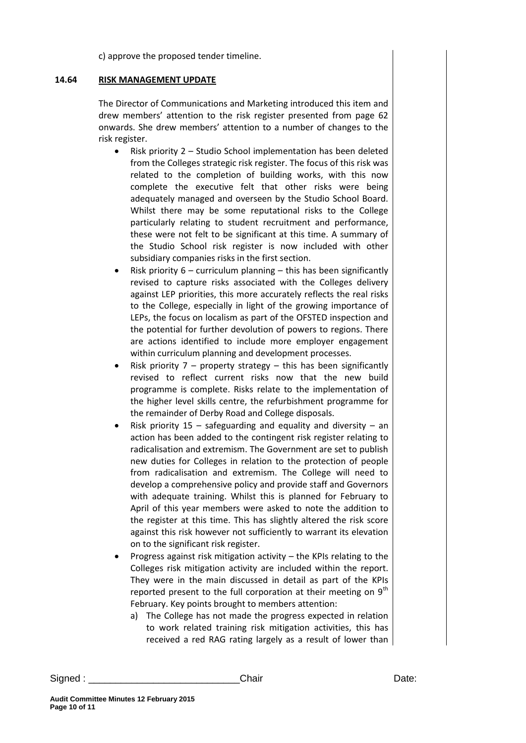c) approve the proposed tender timeline.

## **14.64 RISK MANAGEMENT UPDATE**

The Director of Communications and Marketing introduced this item and drew members' attention to the risk register presented from page 62 onwards. She drew members' attention to a number of changes to the risk register.

- Risk priority 2 Studio School implementation has been deleted from the Colleges strategic risk register. The focus of this risk was related to the completion of building works, with this now complete the executive felt that other risks were being adequately managed and overseen by the Studio School Board. Whilst there may be some reputational risks to the College particularly relating to student recruitment and performance, these were not felt to be significant at this time. A summary of the Studio School risk register is now included with other subsidiary companies risks in the first section.
- Risk priority 6 curriculum planning this has been significantly revised to capture risks associated with the Colleges delivery against LEP priorities, this more accurately reflects the real risks to the College, especially in light of the growing importance of LEPs, the focus on localism as part of the OFSTED inspection and the potential for further devolution of powers to regions. There are actions identified to include more employer engagement within curriculum planning and development processes.
- Risk priority  $7$  property strategy this has been significantly revised to reflect current risks now that the new build programme is complete. Risks relate to the implementation of the higher level skills centre, the refurbishment programme for the remainder of Derby Road and College disposals.
- Risk priority  $15$  safeguarding and equality and diversity an action has been added to the contingent risk register relating to radicalisation and extremism. The Government are set to publish new duties for Colleges in relation to the protection of people from radicalisation and extremism. The College will need to develop a comprehensive policy and provide staff and Governors with adequate training. Whilst this is planned for February to April of this year members were asked to note the addition to the register at this time. This has slightly altered the risk score against this risk however not sufficiently to warrant its elevation on to the significant risk register.
- Progress against risk mitigation activity the KPIs relating to the Colleges risk mitigation activity are included within the report. They were in the main discussed in detail as part of the KPIs reported present to the full corporation at their meeting on  $9<sup>th</sup>$ February. Key points brought to members attention:
	- a) The College has not made the progress expected in relation to work related training risk mitigation activities, this has received a red RAG rating largely as a result of lower than